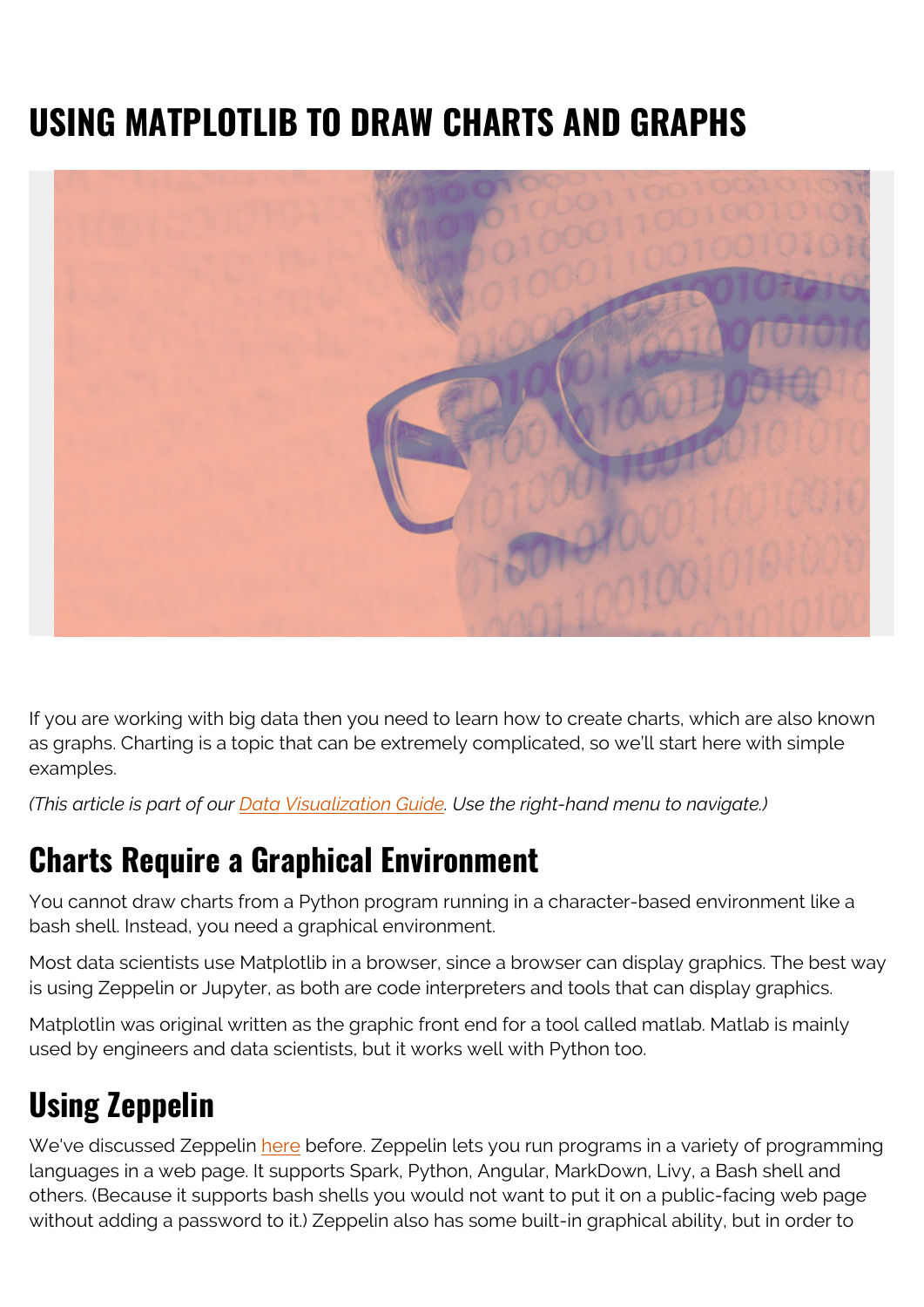# **USING MATPLOTLIB TO DRAW CHARTS AND GRAPHS**



If you are working with big data then you need to learn how to create charts, which are also known as graphs. Charting is a topic that can be extremely complicated, so we'll start here with simple examples.

*(This article is part of our [Data Visualization Guide](https://blogs.bmc.com/blogs/data-visualization/). Use the right-hand menu to navigate.)*

### **Charts Require a Graphical Environment**

You cannot draw charts from a Python program running in a character-based environment like a bash shell. Instead, you need a graphical environment.

Most data scientists use Matplotlib in a browser, since a browser can display graphics. The best way is using Zeppelin or Jupyter, as both are code interpreters and tools that can display graphics.

Matplotlin was original written as the graphic front end for a tool called matlab. Matlab is mainly used by engineers and data scientists, but it works well with Python too.

## **Using Zeppelin**

We've discussed Zeppelin [here](https://blogs.bmc.com/blogs/using-zeppelin-big-data/) before. Zeppelin lets you run programs in a variety of programming languages in a web page. It supports Spark, Python, Angular, MarkDown, Livy, a Bash shell and others. (Because it supports bash shells you would not want to put it on a public-facing web page without adding a password to it.) Zeppelin also has some built-in graphical ability, but in order to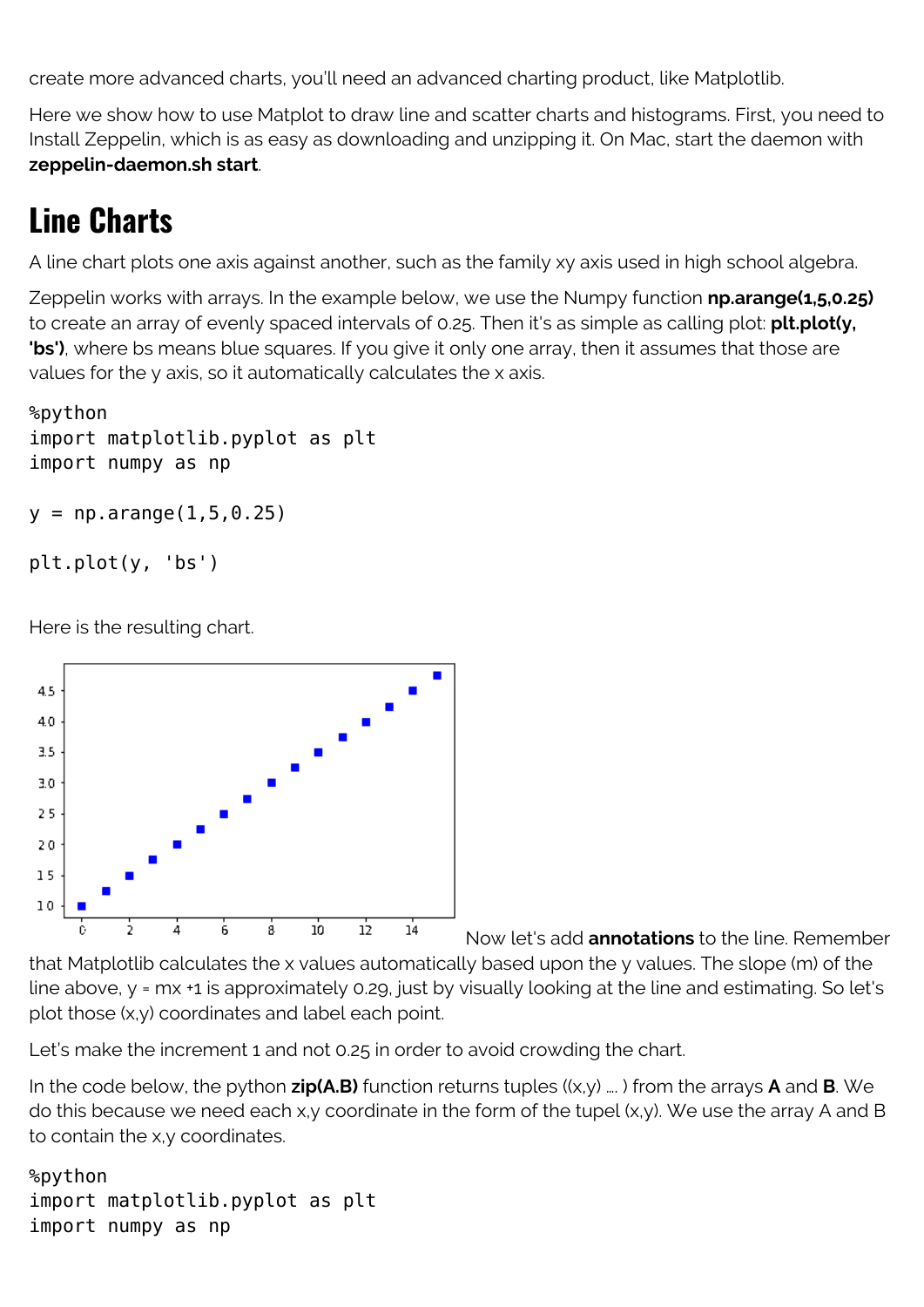create more advanced charts, you'll need an advanced charting product, like Matplotlib.

Here we show how to use Matplot to draw line and scatter charts and histograms. First, you need to Install Zeppelin, which is as easy as downloading and unzipping it. On Mac, start the daemon with **zeppelin-daemon.sh start**.

## **Line Charts**

A line chart plots one axis against another, such as the family xy axis used in high school algebra.

Zeppelin works with arrays. In the example below, we use the Numpy function **np.arange(1,5,0.25)** to create an array of evenly spaced intervals of 0.25. Then it's as simple as calling plot: **plt.plot(y, 'bs')**, where bs means blue squares. If you give it only one array, then it assumes that those are values for the y axis, so it automatically calculates the x axis.

```
%python
import matplotlib.pyplot as plt
import numpy as np
y = np.arange(1, 5, 0.25)plt.plot(y, 'bs')
```

```
Here is the resulting chart.
```


Now let's add **annotations** to the line. Remember that Matplotlib calculates the x values automatically based upon the y values. The slope (m) of the line above, y = mx +1 is approximately 0.29, just by visually looking at the line and estimating. So let's plot those (x,y) coordinates and label each point.

Let's make the increment 1 and not 0.25 in order to avoid crowding the chart.

In the code below, the python **zip(A.B)** function returns tuples ((x,y) …. ) from the arrays **A** and **B**. We do this because we need each x,y coordinate in the form of the tupel (x,y). We use the array A and B to contain the x,y coordinates.

%python import matplotlib.pyplot as plt import numpy as np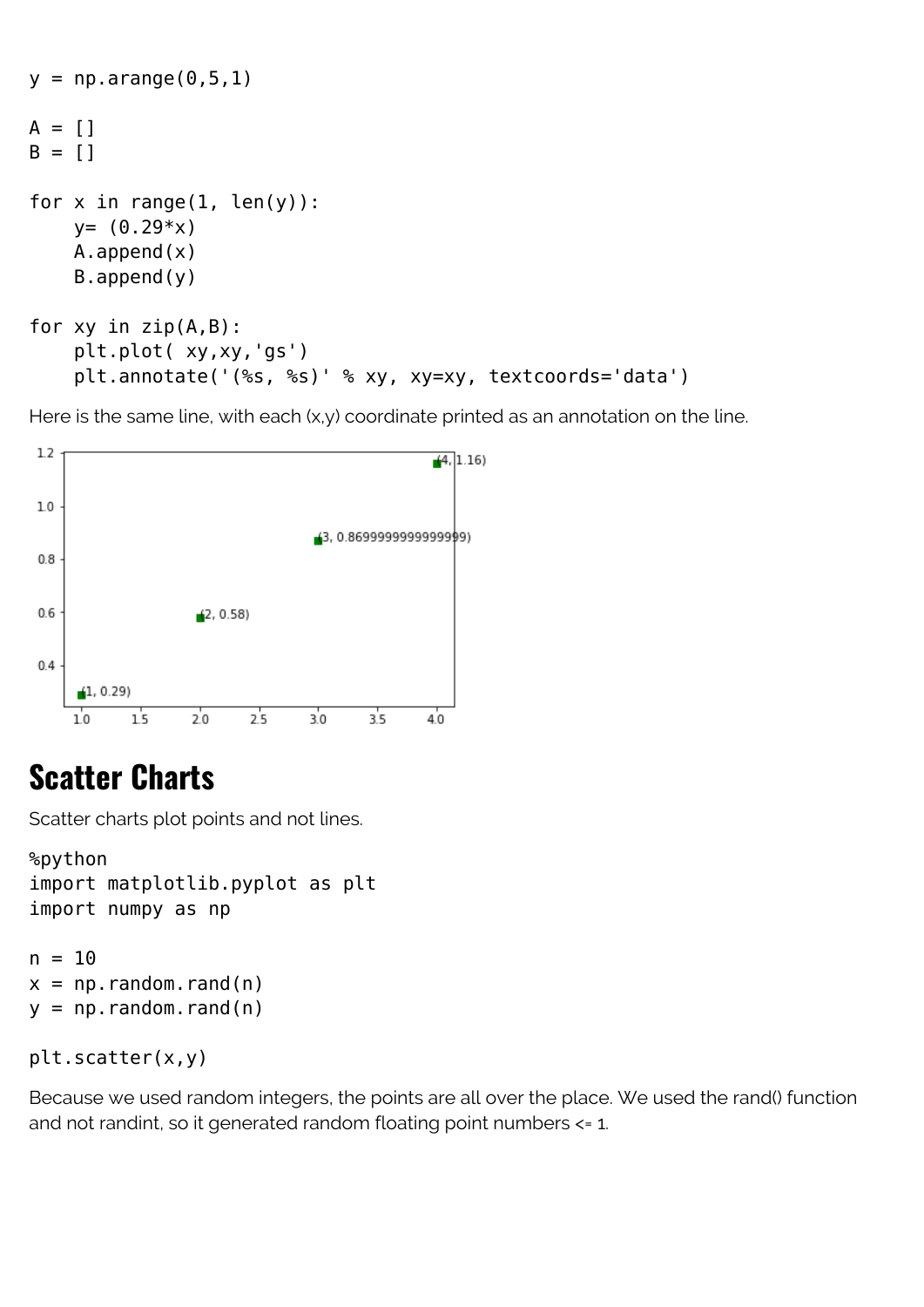```
y = np.arange(0, 5, 1)A = []B = [for x in range(1, len(y)):
    y= (0.29*x) A.append(x)
     B.append(y)
for xy in zip(A,B):
     plt.plot( xy,xy,'gs')
     plt.annotate('(%s, %s)' % xy, xy=xy, textcoords='data')
```
Here is the same line, with each  $(x,y)$  coordinate printed as an annotation on the line.



### **Scatter Charts**

Scatter charts plot points and not lines.

```
%python
import matplotlib.pyplot as plt
import numpy as np
```

```
n = 10x = np.random.randn(n)y = np.random.randn(n)
```

```
plt.scatter(x,y)
```
Because we used random integers, the points are all over the place. We used the rand() function and not randint, so it generated random floating point numbers <= 1.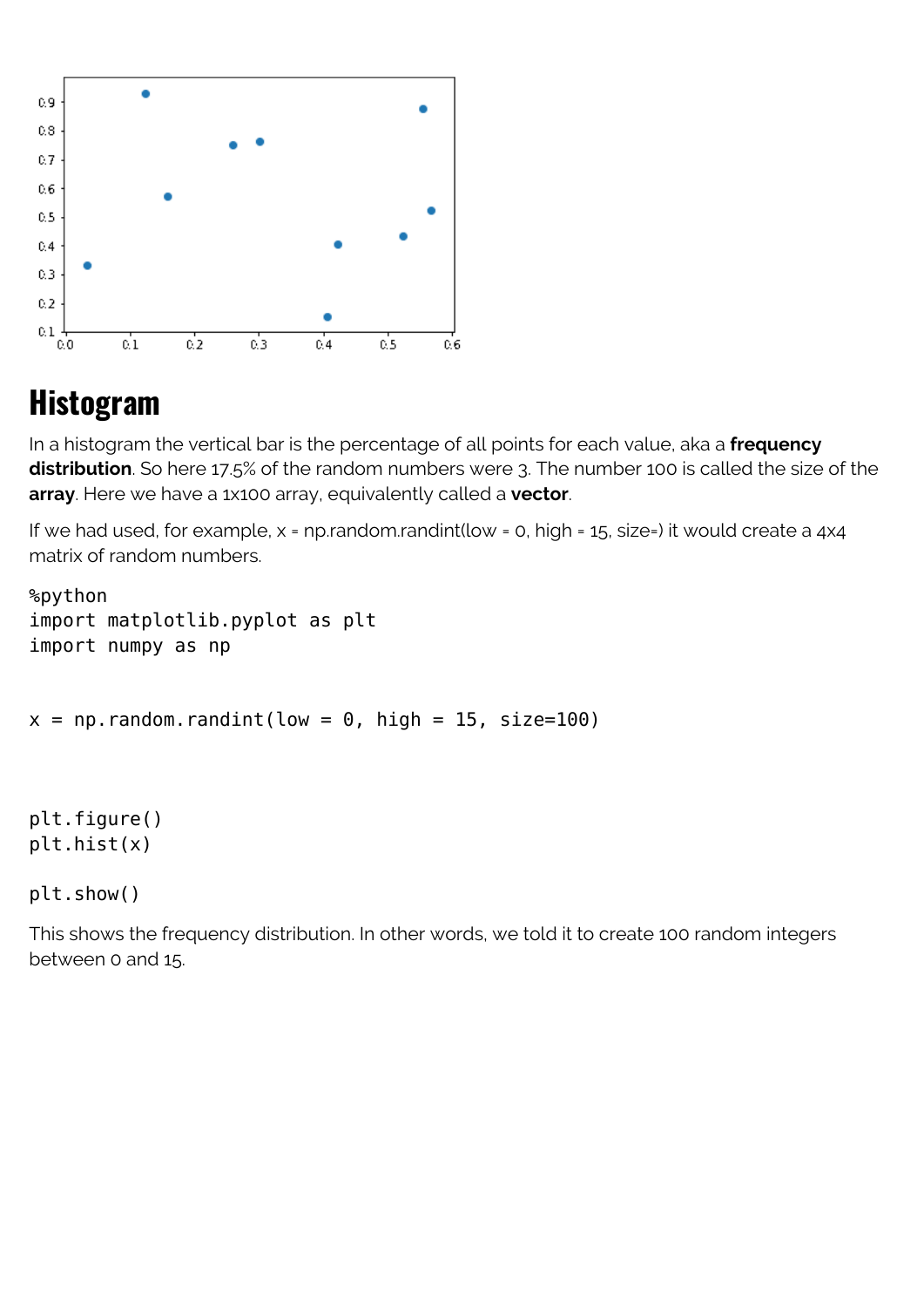

## **Histogram**

In a histogram the vertical bar is the percentage of all points for each value, aka a **frequency distribution**. So here 17.5% of the random numbers were 3. The number 100 is called the size of the **array**. Here we have a 1x100 array, equivalently called a **vector**.

If we had used, for example, x = np.random.randint(low = 0, high = 15, size=) it would create a 4x4 matrix of random numbers.

```
%python
import matplotlib.pyplot as plt
import numpy as np
x = np.random.randnint(low = 0, high = 15, size=100)plt.figure()
```

```
plt.show()
```
plt.hist(x)

This shows the frequency distribution. In other words, we told it to create 100 random integers between 0 and 15.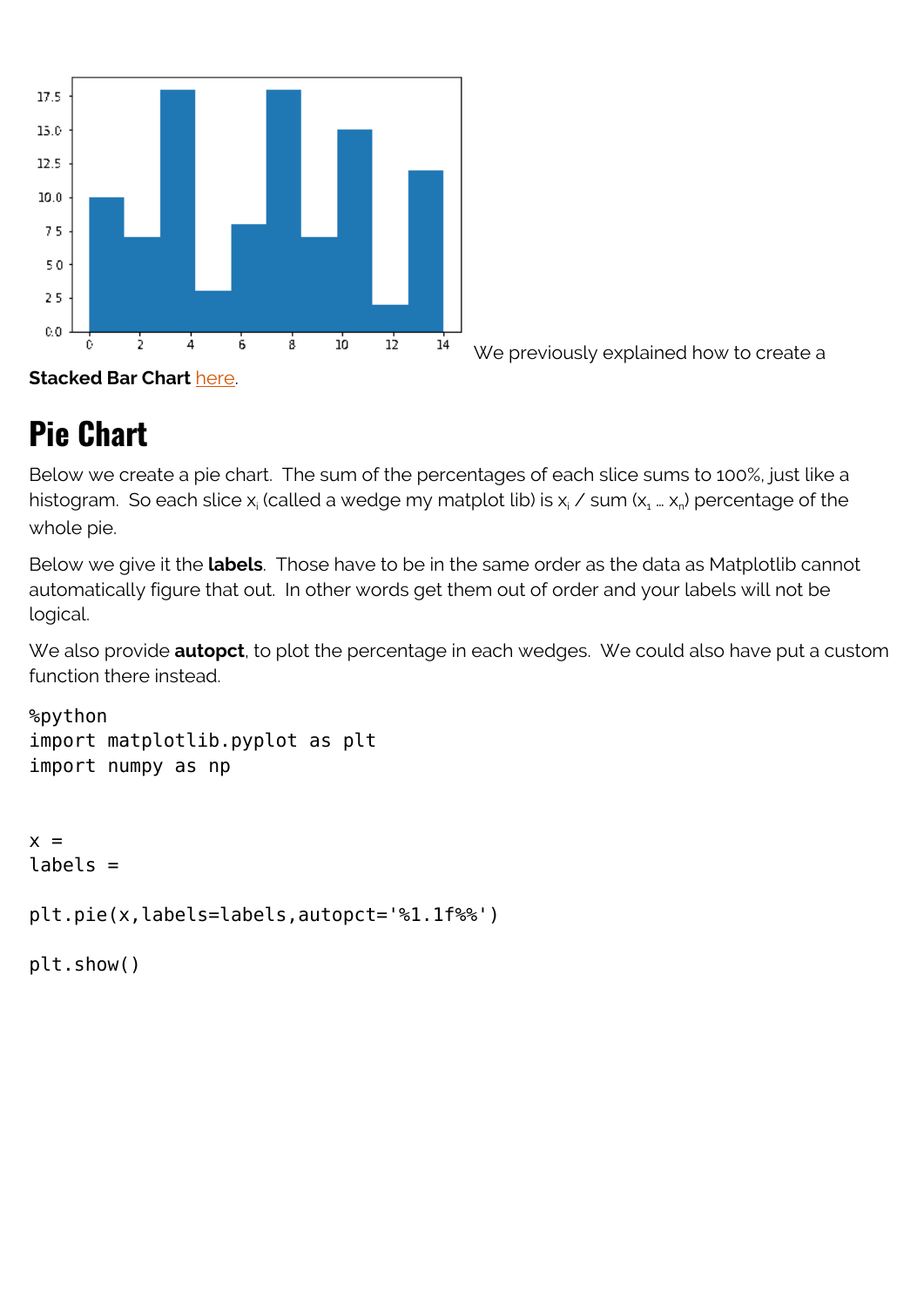

We previously explained how to create a

## **Pie Chart**

Below we create a pie chart. The sum of the percentages of each slice sums to 100%, just like a histogram. So each slice  $\mathsf{x}_{\mathsf{i}}$  (called a wedge my matplot lib) is  $\mathsf{x}_{\mathsf{i}}$  / sum ( $\mathsf{x}_{\mathsf{i}}$  …  $\mathsf{x}_{\mathsf{n}}$ ) percentage of the whole pie.

Below we give it the **labels**. Those have to be in the same order as the data as Matplotlib cannot automatically figure that out. In other words get them out of order and your labels will not be logical.

We also provide **autopct**, to plot the percentage in each wedges. We could also have put a custom function there instead.

```
%python
import matplotlib.pyplot as plt
import numpy as np
x =labels =
plt.pie(x,labels=labels,autopct='%1.1f%%')
```

```
plt.show()
```